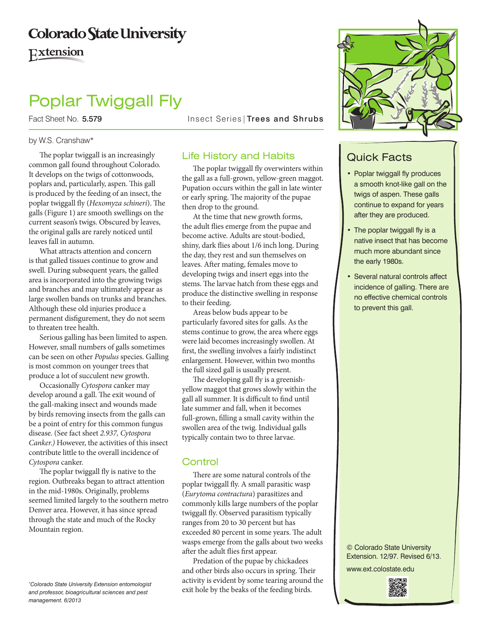# **Colorado State University**

### Extension

## Poplar Twiggall Fly

#### by W.S. Cranshaw\*

The poplar twiggall is an increasingly common gall found throughout Colorado. It develops on the twigs of cottonwoods, poplars and, particularly, aspen. This gall is produced by the feeding of an insect, the poplar twiggall fly (*Hexomyza schineri*). The galls (Figure 1) are smooth swellings on the current season's twigs. Obscured by leaves, the original galls are rarely noticed until leaves fall in autumn.

What attracts attention and concern is that galled tissues continue to grow and swell. During subsequent years, the galled area is incorporated into the growing twigs and branches and may ultimately appear as large swollen bands on trunks and branches. Although these old injuries produce a permanent disfigurement, they do not seem to threaten tree health.

Serious galling has been limited to aspen. However, small numbers of galls sometimes can be seen on other *Populus* species. Galling is most common on younger trees that produce a lot of succulent new growth.

Occasionally *Cytospora* canker may develop around a gall. The exit wound of the gall-making insect and wounds made by birds removing insects from the galls can be a point of entry for this common fungus disease. (See fact sheet *2.937, Cytospora Canker.)* However, the activities of this insect contribute little to the overall incidence of *Cytospora* canker.

The poplar twiggall fly is native to the region. Outbreaks began to attract attention in the mid-1980s. Originally, problems seemed limited largely to the southern metro Denver area. However, it has since spread through the state and much of the Rocky Mountain region.

*\* Colorado State University Extension entomologist and professor, bioagricultural sciences and pest management. 6/2013*

Fact Sheet No. 5.579 Insect Series | Trees and Shrubs

#### Life History and Habits

The poplar twiggall fly overwinters within the gall as a full-grown, yellow-green maggot. Pupation occurs within the gall in late winter or early spring. The majority of the pupae then drop to the ground.

At the time that new growth forms, the adult flies emerge from the pupae and become active. Adults are stout-bodied, shiny, dark flies about 1/6 inch long. During the day, they rest and sun themselves on leaves. After mating, females move to developing twigs and insert eggs into the stems. The larvae hatch from these eggs and produce the distinctive swelling in response to their feeding.

Areas below buds appear to be particularly favored sites for galls. As the stems continue to grow, the area where eggs were laid becomes increasingly swollen. At first, the swelling involves a fairly indistinct enlargement. However, within two months the full sized gall is usually present.

The developing gall fly is a greenishyellow maggot that grows slowly within the gall all summer. It is difficult to find until late summer and fall, when it becomes full-grown, filling a small cavity within the swollen area of the twig. Individual galls typically contain two to three larvae.

#### **Control**

There are some natural controls of the poplar twiggall fly. A small parasitic wasp (*Eurytoma contractura*) parasitizes and commonly kills large numbers of the poplar twiggall fly. Observed parasitism typically ranges from 20 to 30 percent but has exceeded 80 percent in some years. The adult wasps emerge from the galls about two weeks after the adult flies first appear.

Predation of the pupae by chickadees and other birds also occurs in spring. Their activity is evident by some tearing around the exit hole by the beaks of the feeding birds.



### Quick Facts

- Poplar twiggall fly produces a smooth knot-like gall on the twigs of aspen. These galls continue to expand for years after they are produced.
- The poplar twiggall fly is a native insect that has become much more abundant since the early 1980s.
- Several natural controls affect incidence of galling. There are no effective chemical controls to prevent this gall.

© Colorado State University Extension. 12/97. Revised 6/13. www.ext.colostate.edu